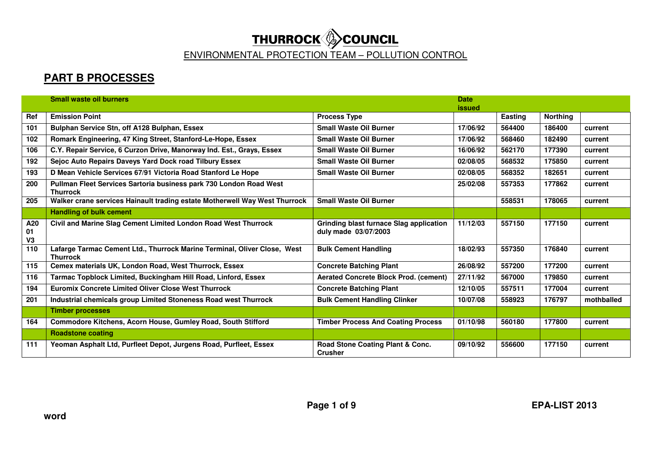|                             | <b>Small waste oil burners</b>                                                              |                                                                        | <b>Date</b>   |         |                 |            |
|-----------------------------|---------------------------------------------------------------------------------------------|------------------------------------------------------------------------|---------------|---------|-----------------|------------|
|                             |                                                                                             |                                                                        | <b>issued</b> |         |                 |            |
| Ref                         | <b>Emission Point</b>                                                                       | <b>Process Type</b>                                                    |               | Easting | <b>Northing</b> |            |
| 101                         | Bulphan Service Stn, off A128 Bulphan, Essex                                                | <b>Small Waste Oil Burner</b>                                          | 17/06/92      | 564400  | 186400          | current    |
| 102                         | Romark Engineering, 47 King Street, Stanford-Le-Hope, Essex                                 | <b>Small Waste Oil Burner</b>                                          | 17/06/92      | 568460  | 182490          | current    |
| 106                         | C.Y. Repair Service, 6 Curzon Drive, Manorway Ind. Est., Grays, Essex                       | <b>Small Waste Oil Burner</b>                                          | 16/06/92      | 562170  | 177390          | current    |
| 192                         | Sejoc Auto Repairs Daveys Yard Dock road Tilbury Essex                                      | <b>Small Waste Oil Burner</b>                                          | 02/08/05      | 568532  | 175850          | current    |
| 193                         | D Mean Vehicle Services 67/91 Victoria Road Stanford Le Hope                                | <b>Small Waste Oil Burner</b>                                          | 02/08/05      | 568352  | 182651          | current    |
| 200                         | Pullman Fleet Services Sartoria business park 730 London Road West<br><b>Thurrock</b>       |                                                                        | 25/02/08      | 557353  | 177862          | current    |
| 205                         | Walker crane services Hainault trading estate Motherwell Way West Thurrock                  | <b>Small Waste Oil Burner</b>                                          |               | 558531  | 178065          | current    |
|                             | <b>Handling of bulk cement</b>                                                              |                                                                        |               |         |                 |            |
| A20<br>01<br>V <sub>3</sub> | Civil and Marine Slag Cement Limited London Road West Thurrock                              | <b>Grinding blast furnace Slag application</b><br>duly made 03/07/2003 | 11/12/03      | 557150  | 177150          | current    |
| 110                         | Lafarge Tarmac Cement Ltd., Thurrock Marine Terminal, Oliver Close, West<br><b>Thurrock</b> | <b>Bulk Cement Handling</b>                                            | 18/02/93      | 557350  | 176840          | current    |
| 115                         | Cemex materials UK, London Road, West Thurrock, Essex                                       | <b>Concrete Batching Plant</b>                                         | 26/08/92      | 557200  | 177200          | current    |
| 116                         | Tarmac Topblock Limited, Buckingham Hill Road, Linford, Essex                               | <b>Aerated Concrete Block Prod. (cement)</b>                           | 27/11/92      | 567000  | 179850          | current    |
| 194                         | <b>Euromix Concrete Limited Oliver Close West Thurrock</b>                                  | <b>Concrete Batching Plant</b>                                         | 12/10/05      | 557511  | 177004          | current    |
| 201                         | Industrial chemicals group Limited Stoneness Road west Thurrock                             | <b>Bulk Cement Handling Clinker</b>                                    | 10/07/08      | 558923  | 176797          | mothballed |
|                             | <b>Timber processes</b>                                                                     |                                                                        |               |         |                 |            |
| 164                         | Commodore Kitchens, Acorn House, Gumley Road, South Stifford                                | <b>Timber Process And Coating Process</b>                              | 01/10/98      | 560180  | 177800          | current    |
|                             | <b>Roadstone coating</b>                                                                    |                                                                        |               |         |                 |            |
| 111                         | Yeoman Asphalt Ltd, Purfleet Depot, Jurgens Road, Purfleet, Essex                           | Road Stone Coating Plant & Conc.<br><b>Crusher</b>                     | 09/10/92      | 556600  | 177150          | current    |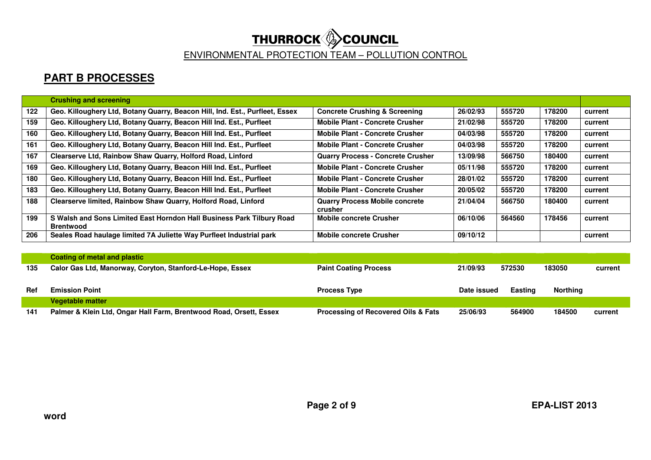# **THURROCK COUNCIL**<br>ENVIRONMENTAL PROTECTION TEAM – POLLUTION CONTROL

|     | <b>Crushing and screening</b>                                                             |                                                  |          |        |        |         |
|-----|-------------------------------------------------------------------------------------------|--------------------------------------------------|----------|--------|--------|---------|
| 122 | Geo. Killoughery Ltd, Botany Quarry, Beacon Hill, Ind. Est., Purfleet, Essex              | <b>Concrete Crushing &amp; Screening</b>         | 26/02/93 | 555720 | 178200 | current |
| 159 | Geo. Killoughery Ltd, Botany Quarry, Beacon Hill Ind. Est., Purfleet                      | <b>Mobile Plant - Concrete Crusher</b>           | 21/02/98 | 555720 | 178200 | current |
| 160 | Geo. Killoughery Ltd, Botany Quarry, Beacon Hill Ind. Est., Purfleet                      | <b>Mobile Plant - Concrete Crusher</b>           | 04/03/98 | 555720 | 178200 | current |
| 161 | Geo. Killoughery Ltd, Botany Quarry, Beacon Hill Ind. Est., Purfleet                      | <b>Mobile Plant - Concrete Crusher</b>           | 04/03/98 | 555720 | 178200 | current |
| 167 | Clearserve Ltd, Rainbow Shaw Quarry, Holford Road, Linford                                | <b>Quarry Process - Concrete Crusher</b>         | 13/09/98 | 566750 | 180400 | current |
| 169 | Geo. Killoughery Ltd, Botany Quarry, Beacon Hill Ind. Est., Purfleet                      | <b>Mobile Plant - Concrete Crusher</b>           | 05/11/98 | 555720 | 178200 | current |
| 180 | Geo. Killoughery Ltd, Botany Quarry, Beacon Hill Ind. Est., Purfleet                      | <b>Mobile Plant - Concrete Crusher</b>           | 28/01/02 | 555720 | 178200 | current |
| 183 | Geo. Killoughery Ltd, Botany Quarry, Beacon Hill Ind. Est., Purfleet                      | <b>Mobile Plant - Concrete Crusher</b>           | 20/05/02 | 555720 | 178200 | current |
| 188 | Clearserve limited, Rainbow Shaw Quarry, Holford Road, Linford                            | <b>Quarry Process Mobile concrete</b><br>crusher | 21/04/04 | 566750 | 180400 | current |
| 199 | S Walsh and Sons Limited East Horndon Hall Business Park Tilbury Road<br><b>Brentwood</b> | <b>Mobile concrete Crusher</b>                   | 06/10/06 | 564560 | 178456 | current |
| 206 | Seales Road haulage limited 7A Juliette Way Purfleet Industrial park                      | <b>Mobile concrete Crusher</b>                   | 09/10/12 |        |        | current |

|     | Coating of metal and plastic                              |                              |             |                |                 |         |
|-----|-----------------------------------------------------------|------------------------------|-------------|----------------|-----------------|---------|
| 135 | Calor Gas Ltd, Manorway, Coryton, Stanford-Le-Hope, Essex | <b>Paint Coating Process</b> | 21/09/93    | 572530         | 183050          | current |
|     |                                                           |                              |             |                |                 |         |
|     |                                                           |                              |             |                |                 |         |
| Ref | <b>Emission Point</b>                                     | <b>Process Type</b>          | Date issued | <b>Easting</b> | <b>Northing</b> |         |
|     | <b>Vegetable matter</b>                                   |                              |             |                |                 |         |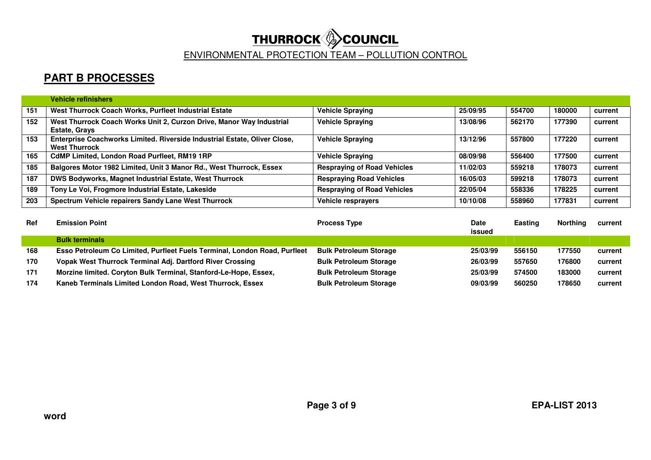|     | <b>Vehicle refinishers</b>                                                                        |                                    |          |        |        |         |
|-----|---------------------------------------------------------------------------------------------------|------------------------------------|----------|--------|--------|---------|
| 151 | West Thurrock Coach Works, Purfleet Industrial Estate                                             | <b>Vehicle Spraying</b>            | 25/09/95 | 554700 | 180000 | current |
| 152 | West Thurrock Coach Works Unit 2, Curzon Drive, Manor Way Industrial<br><b>Estate, Grays</b>      | <b>Vehicle Spraying</b>            | 13/08/96 | 562170 | 177390 | current |
| 153 | Enterprise Coachworks Limited. Riverside Industrial Estate, Oliver Close,<br><b>West Thurrock</b> | <b>Vehicle Spraying</b>            | 13/12/96 | 557800 | 177220 | current |
| 165 | <b>CdMP Limited, London Road Purfleet, RM19 1RP</b>                                               | <b>Vehicle Spraying</b>            | 08/09/98 | 556400 | 177500 | current |
| 185 | Balgores Motor 1982 Limited, Unit 3 Manor Rd., West Thurrock, Essex                               | <b>Respraying of Road Vehicles</b> | 11/02/03 | 559218 | 178073 | current |
| 187 | DWS Bodyworks, Magnet Industrial Estate, West Thurrock                                            | <b>Respraying Road Vehicles</b>    | 16/05/03 | 599218 | 178073 | current |
| 189 | Tony Le Voi, Frogmore Industrial Estate, Lakeside                                                 | <b>Respraying of Road Vehicles</b> | 22/05/04 | 558336 | 178225 | current |
| 203 | Spectrum Vehicle repairers Sandy Lane West Thurrock                                               | Vehicle resprayers                 | 10/10/08 | 558960 | 177831 | current |

| <b>Ref</b> | <b>Emission Point</b>                                                     | <b>Process Type</b>           | <b>Date</b><br>issued | Easting | <b>Northing</b> | current |
|------------|---------------------------------------------------------------------------|-------------------------------|-----------------------|---------|-----------------|---------|
|            | <b>Bulk terminals</b>                                                     |                               |                       |         |                 |         |
| 168        | Esso Petroleum Co Limited, Purfleet Fuels Terminal, London Road, Purfleet | <b>Bulk Petroleum Storage</b> | 25/03/99              | 556150  | 177550          | current |
| 170        | Vopak West Thurrock Terminal Adj. Dartford River Crossing                 | <b>Bulk Petroleum Storage</b> | 26/03/99              | 557650  | 176800          | current |
| 171        | Morzine limited. Coryton Bulk Terminal, Stanford-Le-Hope, Essex,          | <b>Bulk Petroleum Storage</b> | 25/03/99              | 574500  | 183000          | current |
| 174        | Kaneb Terminals Limited London Road, West Thurrock, Essex                 | <b>Bulk Petroleum Storage</b> | 09/03/99              | 560250  | 178650          | current |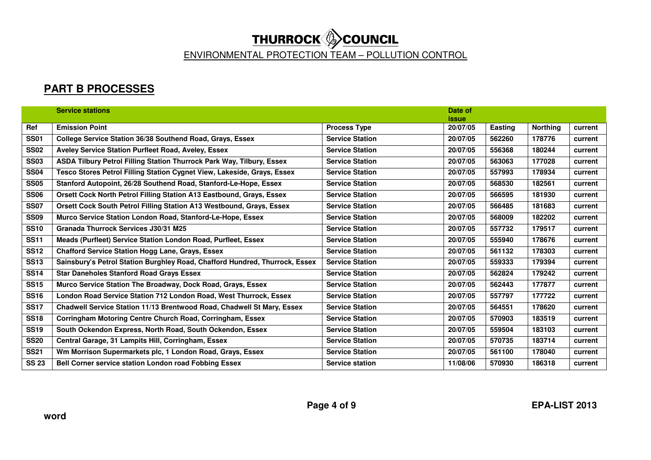|              | <b>Service stations</b>                                                     |                        | Date of      |         |                 |         |
|--------------|-----------------------------------------------------------------------------|------------------------|--------------|---------|-----------------|---------|
|              |                                                                             |                        | <i>issue</i> |         |                 |         |
| Ref          | <b>Emission Point</b>                                                       | <b>Process Type</b>    | 20/07/05     | Easting | <b>Northing</b> | current |
| <b>SS01</b>  | College Service Station 36/38 Southend Road, Grays, Essex                   | <b>Service Station</b> | 20/07/05     | 562260  | 178776          | current |
| <b>SS02</b>  | Aveley Service Station Purfleet Road, Aveley, Essex                         | <b>Service Station</b> | 20/07/05     | 556368  | 180244          | current |
| <b>SS03</b>  | ASDA Tilbury Petrol Filling Station Thurrock Park Way, Tilbury, Essex       | <b>Service Station</b> | 20/07/05     | 563063  | 177028          | current |
| <b>SS04</b>  | Tesco Stores Petrol Filling Station Cygnet View, Lakeside, Grays, Essex     | <b>Service Station</b> | 20/07/05     | 557993  | 178934          | current |
| <b>SS05</b>  | Stanford Autopoint, 26/28 Southend Road, Stanford-Le-Hope, Essex            | <b>Service Station</b> | 20/07/05     | 568530  | 182561          | current |
| <b>SS06</b>  | Orsett Cock North Petrol Filling Station A13 Eastbound, Grays, Essex        | <b>Service Station</b> | 20/07/05     | 566595  | 181930          | current |
| <b>SS07</b>  | Orsett Cock South Petrol Filling Station A13 Westbound, Grays, Essex        | <b>Service Station</b> | 20/07/05     | 566485  | 181683          | current |
| <b>SS09</b>  | Murco Service Station London Road, Stanford-Le-Hope, Essex                  | <b>Service Station</b> | 20/07/05     | 568009  | 182202          | current |
| <b>SS10</b>  | Granada Thurrock Services J30/31 M25                                        | <b>Service Station</b> | 20/07/05     | 557732  | 179517          | current |
| <b>SS11</b>  | Meads (Purfleet) Service Station London Road, Purfleet, Essex               | <b>Service Station</b> | 20/07/05     | 555940  | 178676          | current |
| <b>SS12</b>  | <b>Chafford Service Station Hogg Lane, Grays, Essex</b>                     | <b>Service Station</b> | 20/07/05     | 561132  | 178303          | current |
| <b>SS13</b>  | Sainsbury's Petrol Station Burghley Road, Chafford Hundred, Thurrock, Essex | <b>Service Station</b> | 20/07/05     | 559333  | 179394          | current |
| <b>SS14</b>  | <b>Star Daneholes Stanford Road Grays Essex</b>                             | <b>Service Station</b> | 20/07/05     | 562824  | 179242          | current |
| <b>SS15</b>  | Murco Service Station The Broadway, Dock Road, Grays, Essex                 | <b>Service Station</b> | 20/07/05     | 562443  | 177877          | current |
| <b>SS16</b>  | London Road Service Station 712 London Road, West Thurrock, Essex           | <b>Service Station</b> | 20/07/05     | 557797  | 177722          | current |
| <b>SS17</b>  | Chadwell Service Station 11/13 Brentwood Road, Chadwell St Mary, Essex      | <b>Service Station</b> | 20/07/05     | 564551  | 178620          | current |
| <b>SS18</b>  | Corringham Motoring Centre Church Road, Corringham, Essex                   | <b>Service Station</b> | 20/07/05     | 570903  | 183519          | current |
| <b>SS19</b>  | South Ockendon Express, North Road, South Ockendon, Essex                   | <b>Service Station</b> | 20/07/05     | 559504  | 183103          | current |
| <b>SS20</b>  | Central Garage, 31 Lampits Hill, Corringham, Essex                          | <b>Service Station</b> | 20/07/05     | 570735  | 183714          | current |
| <b>SS21</b>  | Wm Morrison Supermarkets plc, 1 London Road, Grays, Essex                   | <b>Service Station</b> | 20/07/05     | 561100  | 178040          | current |
| <b>SS 23</b> | Bell Corner service station London road Fobbing Essex                       | <b>Service station</b> | 11/08/06     | 570930  | 186318          | current |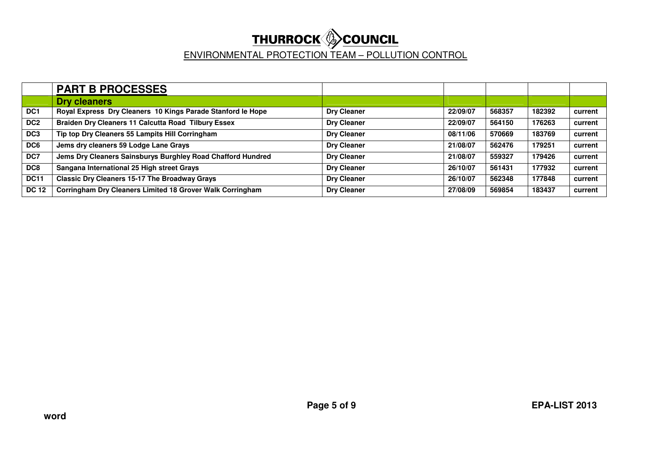|                 | <b>PART B PROCESSES</b>                                     |                    |          |        |        |         |
|-----------------|-------------------------------------------------------------|--------------------|----------|--------|--------|---------|
|                 | <b>Dry cleaners</b>                                         |                    |          |        |        |         |
| DC <sub>1</sub> | Royal Express Dry Cleaners 10 Kings Parade Stanford le Hope | <b>Dry Cleaner</b> | 22/09/07 | 568357 | 182392 | current |
| DC <sub>2</sub> | <b>Braiden Dry Cleaners 11 Calcutta Road Tilbury Essex</b>  | <b>Dry Cleaner</b> | 22/09/07 | 564150 | 176263 | current |
| DC <sub>3</sub> | Tip top Dry Cleaners 55 Lampits Hill Corringham             | <b>Dry Cleaner</b> | 08/11/06 | 570669 | 183769 | current |
| DC6             | Jems dry cleaners 59 Lodge Lane Grays                       | <b>Dry Cleaner</b> | 21/08/07 | 562476 | 179251 | current |
| DC7             | Jems Dry Cleaners Sainsburys Burghley Road Chafford Hundred | <b>Dry Cleaner</b> | 21/08/07 | 559327 | 179426 | current |
| DC8             | Sangana International 25 High street Grays                  | <b>Dry Cleaner</b> | 26/10/07 | 561431 | 177932 | current |
| <b>DC11</b>     | <b>Classic Dry Cleaners 15-17 The Broadway Grays</b>        | <b>Dry Cleaner</b> | 26/10/07 | 562348 | 177848 | current |
| <b>DC 12</b>    | Corringham Dry Cleaners Limited 18 Grover Walk Corringham   | <b>Dry Cleaner</b> | 27/08/09 | 569854 | 183437 | current |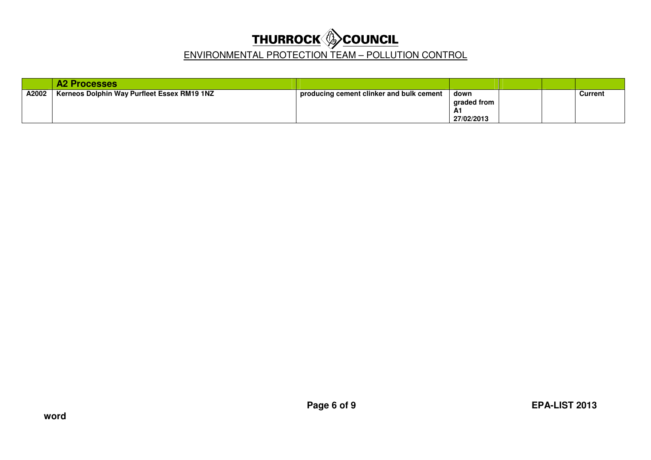|       | <b>A2 Processes</b>                         |                                          |                                                |  |         |
|-------|---------------------------------------------|------------------------------------------|------------------------------------------------|--|---------|
| A2002 | Kerneos Dolphin Way Purfleet Essex RM19 1NZ | producing cement clinker and bulk cement | down<br>graded from<br><b>A1</b><br>27/02/2013 |  | Current |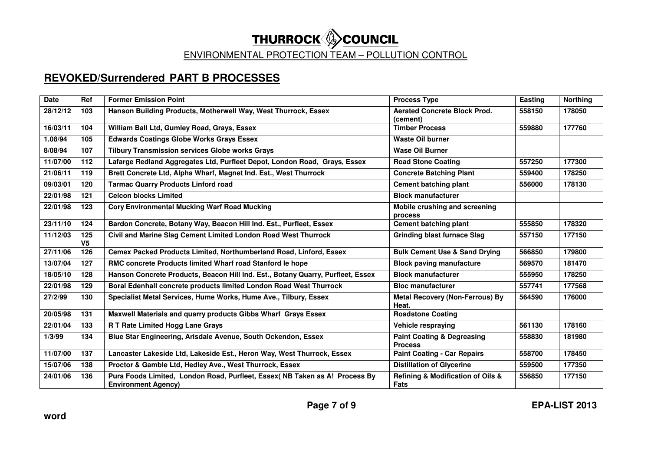## **REVOKED/Surrendered PART B PROCESSES**

| <b>Date</b> | Ref                   | <b>Former Emission Point</b>                                                                              | <b>Process Type</b>                                     | Easting | <b>Northing</b> |
|-------------|-----------------------|-----------------------------------------------------------------------------------------------------------|---------------------------------------------------------|---------|-----------------|
| 28/12/12    | 103                   | Hanson Building Products, Motherwell Way, West Thurrock, Essex                                            | <b>Aerated Concrete Block Prod.</b><br>(cement)         | 558150  | 178050          |
| 16/03/11    | 104                   | William Ball Ltd, Gumley Road, Grays, Essex                                                               | <b>Timber Process</b>                                   | 559880  | 177760          |
| 1.08/94     | 105                   | <b>Edwards Coatings Globe Works Grays Essex</b>                                                           | <b>Waste Oil burner</b>                                 |         |                 |
| 8/08/94     | 107                   | <b>Tilbury Transmission services Globe works Grays</b>                                                    | <b>Wase Oil Burner</b>                                  |         |                 |
| 11/07/00    | 112                   | Lafarge Redland Aggregates Ltd, Purfleet Depot, London Road, Grays, Essex                                 | <b>Road Stone Coating</b>                               | 557250  | 177300          |
| 21/06/11    | 119                   | Brett Concrete Ltd, Alpha Wharf, Magnet Ind. Est., West Thurrock                                          | <b>Concrete Batching Plant</b>                          | 559400  | 178250          |
| 09/03/01    | 120                   | <b>Tarmac Quarry Products Linford road</b>                                                                | <b>Cement batching plant</b>                            | 556000  | 178130          |
| 22/01/98    | 121                   | <b>Celcon blocks Limited</b>                                                                              | <b>Block manufacturer</b>                               |         |                 |
| 22/01/98    | 123                   | <b>Cory Environmental Mucking Warf Road Mucking</b>                                                       | Mobile crushing and screening<br>process                |         |                 |
| 23/11/10    | 124                   | Bardon Concrete, Botany Way, Beacon Hill Ind. Est., Purfleet, Essex                                       | <b>Cement batching plant</b>                            | 555850  | 178320          |
| 11/12/03    | 125<br>V <sub>5</sub> | Civil and Marine Slag Cement Limited London Road West Thurrock                                            | <b>Grinding blast furnace Slag</b>                      | 557150  | 177150          |
| 27/11/06    | 126                   | Cemex Packed Products Limited, Northumberland Road, Linford, Essex                                        | <b>Bulk Cement Use &amp; Sand Drying</b>                | 566850  | 179800          |
| 13/07/04    | 127                   | RMC concrete Products limited Wharf road Stanford le hope                                                 | <b>Block paving manufacture</b>                         | 569570  | 181470          |
| 18/05/10    | 128                   | Hanson Concrete Products, Beacon Hill Ind. Est., Botany Quarry, Purfleet, Essex                           | <b>Block manufacturer</b>                               | 555950  | 178250          |
| 22/01/98    | 129                   | Boral Edenhall concrete products limited London Road West Thurrock                                        | <b>Bloc manufacturer</b>                                | 557741  | 177568          |
| 27/2/99     | 130                   | Specialist Metal Services, Hume Works, Hume Ave., Tilbury, Essex                                          | <b>Metal Recovery (Non-Ferrous) By</b><br>Heat.         | 564590  | 176000          |
| 20/05/98    | 131                   | Maxwell Materials and quarry products Gibbs Wharf Grays Essex                                             | <b>Roadstone Coating</b>                                |         |                 |
| 22/01/04    | 133                   | R T Rate Limited Hogg Lane Grays                                                                          | Vehicle respraying                                      | 561130  | 178160          |
| 1/3/99      | 134                   | Blue Star Engineering, Arisdale Avenue, South Ockendon, Essex                                             | <b>Paint Coating &amp; Degreasing</b><br><b>Process</b> | 558830  | 181980          |
| 11/07/00    | 137                   | Lancaster Lakeside Ltd, Lakeside Est., Heron Way, West Thurrock, Essex                                    | <b>Paint Coating - Car Repairs</b>                      | 558700  | 178450          |
| 15/07/06    | 138                   | Proctor & Gamble Ltd, Hedley Ave., West Thurrock, Essex                                                   | <b>Distillation of Glycerine</b>                        | 559500  | 177350          |
| 24/01/06    | 136                   | Pura Foods Limited, London Road, Purfleet, Essex( NB Taken as A! Process By<br><b>Environment Agency)</b> | Refining & Modification of Oils &<br>Fats               | 556850  | 177150          |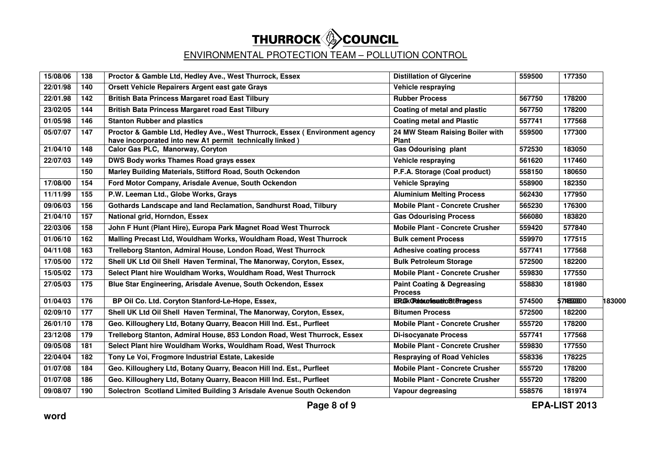| 15/08/06 | 138 | Proctor & Gamble Ltd, Hedley Ave., West Thurrock, Essex                                                                                 | <b>Distillation of Glycerine</b>                        | 559500 | 177350     |        |
|----------|-----|-----------------------------------------------------------------------------------------------------------------------------------------|---------------------------------------------------------|--------|------------|--------|
| 22/01/98 | 140 | Orsett Vehicle Repairers Argent east gate Grays                                                                                         | Vehicle respraving                                      |        |            |        |
| 22/01.98 | 142 | <b>British Bata Princess Margaret road East Tilbury</b>                                                                                 | <b>Rubber Process</b>                                   | 567750 | 178200     |        |
| 23/02/05 | 144 | <b>British Bata Princess Margaret road East Tilbury</b>                                                                                 | Coating of metal and plastic                            | 567750 | 178200     |        |
| 01/05/98 | 146 | <b>Stanton Rubber and plastics</b>                                                                                                      | <b>Coating metal and Plastic</b>                        | 557741 | 177568     |        |
| 05/07/07 | 147 | Proctor & Gamble Ltd, Hedley Ave., West Thurrock, Essex (Environment agency<br>have incorporated into new A1 permit technically linked) | 24 MW Steam Raising Boiler with<br><b>Plant</b>         | 559500 | 177300     |        |
| 21/04/10 | 148 | Calor Gas PLC, Manorway, Coryton                                                                                                        | <b>Gas Odourising plant</b>                             | 572530 | 183050     |        |
| 22/07/03 | 149 | DWS Body works Thames Road grays essex                                                                                                  | Vehicle respraying                                      | 561620 | 117460     |        |
|          | 150 | Marley Building Materials, Stifford Road, South Ockendon                                                                                | P.F.A. Storage (Coal product)                           | 558150 | 180650     |        |
| 17/08/00 | 154 | Ford Motor Company, Arisdale Avenue, South Ockendon                                                                                     | <b>Vehicle Spraying</b>                                 | 558900 | 182350     |        |
| 11/11/99 | 155 | P.W. Leeman Ltd., Globe Works, Grays                                                                                                    | <b>Aluminium Melting Process</b>                        | 562430 | 177950     |        |
| 09/06/03 | 156 | Gothards Landscape and land Reclamation, Sandhurst Road, Tilbury                                                                        | <b>Mobile Plant - Concrete Crusher</b>                  | 565230 | 176300     |        |
| 21/04/10 | 157 | National grid, Horndon, Essex                                                                                                           | <b>Gas Odourising Process</b>                           | 566080 | 183820     |        |
| 22/03/06 | 158 | John F Hunt (Plant Hire), Europa Park Magnet Road West Thurrock                                                                         | <b>Mobile Plant - Concrete Crusher</b>                  | 559420 | 577840     |        |
| 01/06/10 | 162 | Malling Precast Ltd, Wouldham Works, Wouldham Road, West Thurrock                                                                       | <b>Bulk cement Process</b>                              | 559970 | 177515     |        |
| 04/11/08 | 163 | Trelleborg Stanton, Admiral House, London Road, West Thurrock                                                                           | <b>Adhesive coating process</b>                         | 557741 | 177568     |        |
| 17/05/00 | 172 | Shell UK Ltd Oil Shell Haven Terminal, The Manorway, Coryton, Essex,                                                                    | <b>Bulk Petroleum Storage</b>                           | 572500 | 182200     |        |
| 15/05/02 | 173 | Select Plant hire Wouldham Works, Wouldham Road, West Thurrock                                                                          | <b>Mobile Plant - Concrete Crusher</b>                  | 559830 | 177550     |        |
| 27/05/03 | 175 | Blue Star Engineering, Arisdale Avenue, South Ockendon, Essex                                                                           | <b>Paint Coating &amp; Degreasing</b><br><b>Process</b> | 558830 | 181980     |        |
| 01/04/03 | 176 | BP Oil Co. Ltd. Coryton Stanford-Le-Hope, Essex,                                                                                        | <b>IRGKORebuorisatrioStBragess</b>                      | 574500 | 5745530000 | 183000 |
| 02/09/10 | 177 | Shell UK Ltd Oil Shell Haven Terminal, The Manorway, Coryton, Essex,                                                                    | <b>Bitumen Process</b>                                  | 572500 | 182200     |        |
| 26/01/10 | 178 | Geo. Killoughery Ltd, Botany Quarry, Beacon Hill Ind. Est., Purfleet                                                                    | <b>Mobile Plant - Concrete Crusher</b>                  | 555720 | 178200     |        |
| 23/12/08 | 179 | Trelleborg Stanton, Admiral House, 853 London Road, West Thurrock, Essex                                                                | <b>Di-isocyanate Process</b>                            | 557741 | 177568     |        |
| 09/05/08 | 181 | Select Plant hire Wouldham Works, Wouldham Road, West Thurrock                                                                          | <b>Mobile Plant - Concrete Crusher</b>                  | 559830 | 177550     |        |
| 22/04/04 | 182 | Tony Le Voi, Frogmore Industrial Estate, Lakeside                                                                                       | <b>Respraying of Road Vehicles</b>                      | 558336 | 178225     |        |
| 01/07/08 | 184 | Geo. Killoughery Ltd, Botany Quarry, Beacon Hill Ind. Est., Purfleet                                                                    | <b>Mobile Plant - Concrete Crusher</b>                  | 555720 | 178200     |        |
| 01/07/08 | 186 | Geo. Killoughery Ltd, Botany Quarry, Beacon Hill Ind. Est., Purfleet                                                                    | <b>Mobile Plant - Concrete Crusher</b>                  | 555720 | 178200     |        |
| 09/08/07 | 190 | Solectron Scotland Limited Building 3 Arisdale Avenue South Ockendon                                                                    | Vapour degreasing                                       | 558576 | 181974     |        |
|          |     |                                                                                                                                         |                                                         |        |            |        |

**Page 8 of 9 EPA-LIST 2013**